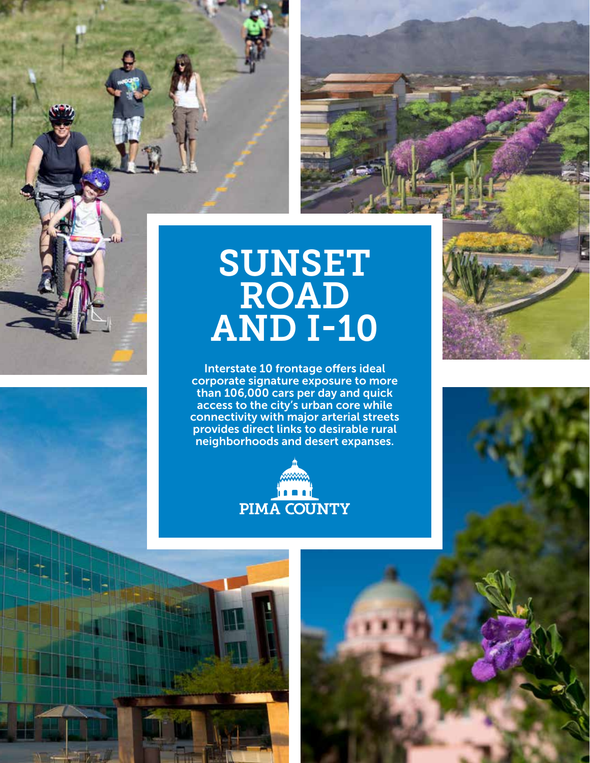

## SUNSET ROAD AND I-10

Interstate 10 frontage offers ideal corporate signature exposure to more than 106,000 cars per day and quick access to the city's urban core while connectivity with major arterial streets provides direct links to desirable rural neighborhoods and desert expanses.